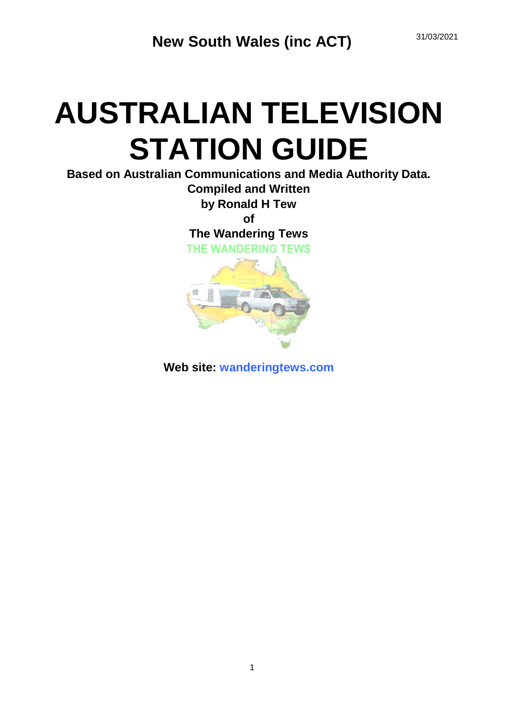# **AUSTRALIAN TELEVISION STATION GUIDE**

**Based on Australian Communications and Media Authority Data. Compiled and Written by Ronald H Tew of**

**The Wandering Tews**





**Web site: wanderingtews.com**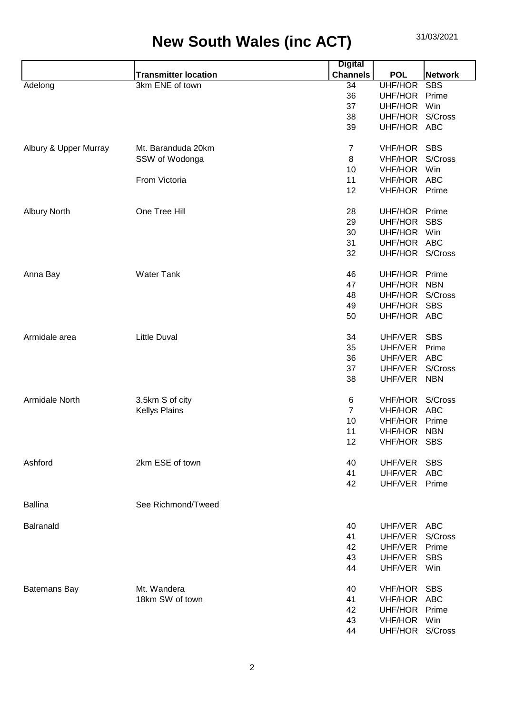|                       |                             | <b>Digital</b>  |                 |                |
|-----------------------|-----------------------------|-----------------|-----------------|----------------|
|                       | <b>Transmitter location</b> | <b>Channels</b> | <b>POL</b>      | <b>Network</b> |
| Adelong               | 3km ENE of town             | 34              | <b>UHF/HOR</b>  | <b>SBS</b>     |
|                       |                             | 36              | UHF/HOR         | Prime          |
|                       |                             | 37              | UHF/HOR         | Win            |
|                       |                             | 38              | UHF/HOR         | S/Cross        |
|                       |                             | 39              | UHF/HOR ABC     |                |
| Albury & Upper Murray | Mt. Baranduda 20km          | $\overline{7}$  | VHF/HOR         | <b>SBS</b>     |
|                       | SSW of Wodonga              | 8               | <b>VHF/HOR</b>  | S/Cross        |
|                       |                             | 10              | <b>VHF/HOR</b>  | Win            |
|                       | From Victoria               | 11              | <b>VHF/HOR</b>  | <b>ABC</b>     |
|                       |                             | 12              | <b>VHF/HOR</b>  | Prime          |
| <b>Albury North</b>   | One Tree Hill               | 28              | UHF/HOR         | Prime          |
|                       |                             | 29              | UHF/HOR         | <b>SBS</b>     |
|                       |                             | 30              | UHF/HOR         | Win            |
|                       |                             | 31              | UHF/HOR ABC     |                |
|                       |                             | 32              | UHF/HOR S/Cross |                |
| Anna Bay              | <b>Water Tank</b>           | 46              | UHF/HOR         | Prime          |
|                       |                             | 47              | UHF/HOR         | <b>NBN</b>     |
|                       |                             | 48              | UHF/HOR         | S/Cross        |
|                       |                             | 49              | UHF/HOR         | <b>SBS</b>     |
|                       |                             | 50              | UHF/HOR ABC     |                |
| Armidale area         | <b>Little Duval</b>         | 34              | UHF/VER         | <b>SBS</b>     |
|                       |                             | 35              | UHF/VER         | Prime          |
|                       |                             | 36              | UHF/VER         | <b>ABC</b>     |
|                       |                             | 37              | UHF/VER         | S/Cross        |
|                       |                             | 38              | UHF/VER         | <b>NBN</b>     |
| Armidale North        | 3.5km S of city             | 6               | VHF/HOR         | S/Cross        |
|                       | <b>Kellys Plains</b>        | $\overline{7}$  | <b>VHF/HOR</b>  | <b>ABC</b>     |
|                       |                             | 10              | <b>VHF/HOR</b>  | Prime          |
|                       |                             | 11              | <b>VHF/HOR</b>  | <b>NBN</b>     |
|                       |                             | 12              | <b>VHF/HOR</b>  | <b>SBS</b>     |
| Ashford               | 2km ESE of town             | 40              | UHF/VER         | <b>SBS</b>     |
|                       |                             | 41              | UHF/VER ABC     |                |
|                       |                             | 42              | UHF/VER Prime   |                |
| <b>Ballina</b>        | See Richmond/Tweed          |                 |                 |                |
| Balranald             |                             | 40              | UHF/VER ABC     |                |
|                       |                             | 41              | UHF/VER         | S/Cross        |
|                       |                             | 42              | UHF/VER         | Prime          |
|                       |                             | 43              | UHF/VER         | <b>SBS</b>     |
|                       |                             | 44              | UHF/VER         | Win            |
| <b>Batemans Bay</b>   | Mt. Wandera                 | 40              | VHF/HOR SBS     |                |
|                       | 18km SW of town             | 41              | <b>VHF/HOR</b>  | ABC            |
|                       |                             | 42              | UHF/HOR         | Prime          |
|                       |                             | 43              | <b>VHF/HOR</b>  | Win            |
|                       |                             | 44              | UHF/HOR S/Cross |                |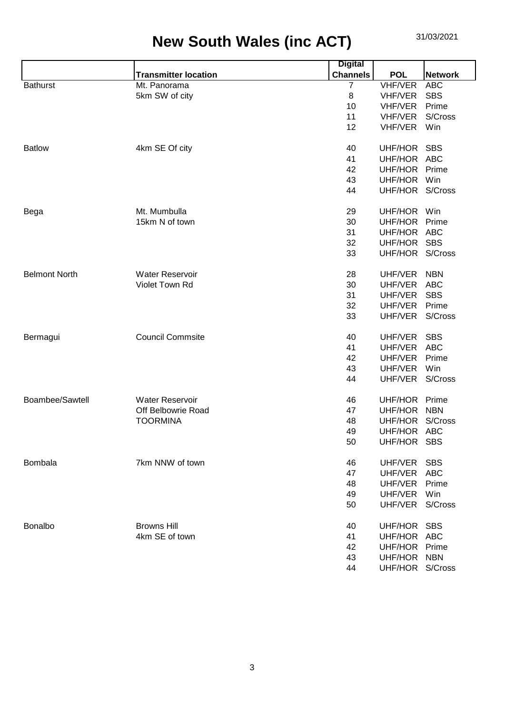| <b>POL</b><br><b>Network</b> |
|------------------------------|
| <b>VHF/VER</b><br><b>ABC</b> |
| <b>VHF/VER</b><br><b>SBS</b> |
| <b>VHF/VER</b><br>Prime      |
| S/Cross<br>VHF/VER           |
| VHF/VER<br>Win               |
| UHF/HOR SBS                  |
| UHF/HOR ABC                  |
| UHF/HOR<br>Prime             |
| UHF/HOR<br>Win               |
| UHF/HOR S/Cross              |
| UHF/HOR<br>Win               |
| UHF/HOR<br>Prime             |
| UHF/HOR ABC                  |
| UHF/HOR<br><b>SBS</b>        |
| UHF/HOR S/Cross              |
| UHF/VER<br><b>NBN</b>        |
| UHF/VER<br><b>ABC</b>        |
| <b>SBS</b><br>UHF/VER        |
| UHF/VER<br>Prime             |
| UHF/VER<br>S/Cross           |
| UHF/VER<br><b>SBS</b>        |
| <b>ABC</b><br>UHF/VER        |
| UHF/VER<br>Prime             |
| UHF/VER<br>Win               |
| S/Cross<br>UHF/VER           |
| Prime<br>UHF/HOR             |
| <b>NBN</b><br>UHF/HOR        |
| S/Cross<br>UHF/HOR           |
| UHF/HOR ABC                  |
| UHF/HOR SBS                  |
| <b>SBS</b><br>UHF/VER        |
| UHF/VER ABC                  |
| Prime<br>UHF/VER             |
| UHF/VER<br>Win               |
| UHF/VER S/Cross              |
| UHF/HOR SBS                  |
| UHF/HOR ABC                  |
| UHF/HOR Prime                |
| UHF/HOR NBN                  |
| UHF/HOR S/Cross              |
|                              |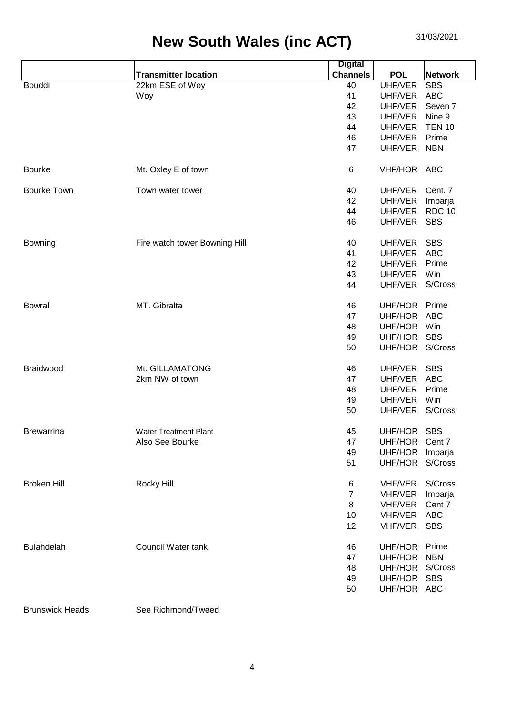|                    |                               | <b>Digital</b>  |                 |                |
|--------------------|-------------------------------|-----------------|-----------------|----------------|
|                    | <b>Transmitter location</b>   | <b>Channels</b> | <b>POL</b>      | <b>Network</b> |
| <b>Bouddi</b>      | 22km ESE of Woy               | 40              | <b>UHF/VER</b>  | <b>SBS</b>     |
|                    | Woy                           | 41              | UHF/VER         | <b>ABC</b>     |
|                    |                               | 42              | UHF/VER         | Seven 7        |
|                    |                               | 43              | UHF/VER         | Nine 9         |
|                    |                               | 44              | UHF/VER         | <b>TEN 10</b>  |
|                    |                               | 46              | UHF/VER         | Prime          |
|                    |                               | 47              | UHF/VER         | <b>NBN</b>     |
| <b>Bourke</b>      | Mt. Oxley E of town           | 6               | VHF/HOR ABC     |                |
| <b>Bourke Town</b> | Town water tower              | 40              | UHF/VER         | Cent. 7        |
|                    |                               | 42              | UHF/VER         | Imparja        |
|                    |                               | 44              | UHF/VER         | <b>RDC 10</b>  |
|                    |                               | 46              | UHF/VER         | <b>SBS</b>     |
| Bowning            | Fire watch tower Bowning Hill | 40              | UHF/VER         | <b>SBS</b>     |
|                    |                               | 41              | UHF/VER         | <b>ABC</b>     |
|                    |                               | 42              | UHF/VER         | Prime          |
|                    |                               | 43              | UHF/VER         | Win            |
|                    |                               | 44              | UHF/VER S/Cross |                |
| <b>Bowral</b>      | MT. Gibralta                  | 46              | UHF/HOR Prime   |                |
|                    |                               | 47              | UHF/HOR         | <b>ABC</b>     |
|                    |                               | 48              | UHF/HOR         | Win            |
|                    |                               | 49              | UHF/HOR         | <b>SBS</b>     |
|                    |                               | 50              | UHF/HOR S/Cross |                |
| Braidwood          | Mt. GILLAMATONG               | 46              | UHF/VER         | <b>SBS</b>     |
|                    | 2km NW of town                | 47              | UHF/VER         | <b>ABC</b>     |
|                    |                               | 48              | UHF/VER         | Prime          |
|                    |                               | 49              | UHF/VER         | Win            |
|                    |                               | 50              | UHF/VER         | S/Cross        |
| <b>Brewarrina</b>  | <b>Water Treatment Plant</b>  | 45              | UHF/HOR SBS     |                |
|                    | Also See Bourke               | 47              | UHF/HOR Cent 7  |                |
|                    |                               | 49              | UHF/HOR         | Imparja        |
|                    |                               | 51              | UHF/HOR         | S/Cross        |
| <b>Broken Hill</b> | Rocky Hill                    | 6               | VHF/VER         | S/Cross        |
|                    |                               | $\overline{7}$  | VHF/VER         | Imparja        |
|                    |                               | 8               | <b>VHF/VER</b>  | Cent 7         |
|                    |                               | 10              | VHF/VER         | <b>ABC</b>     |
|                    |                               | 12              | VHF/VER         | <b>SBS</b>     |
| <b>Bulahdelah</b>  | Council Water tank            | 46              | UHF/HOR         | Prime          |
|                    |                               | 47              | UHF/HOR         | <b>NBN</b>     |
|                    |                               | 48              | UHF/HOR         | S/Cross        |
|                    |                               | 49              | UHF/HOR         | <b>SBS</b>     |
|                    |                               | 50              | UHF/HOR ABC     |                |
|                    |                               |                 |                 |                |

Brunswick Heads See Richmond/Tweed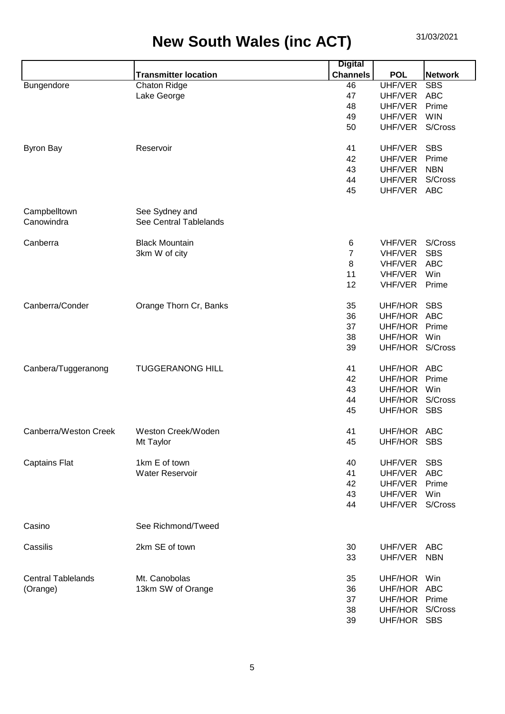|                           |                             | <b>Digital</b>  |                 |                |
|---------------------------|-----------------------------|-----------------|-----------------|----------------|
|                           | <b>Transmitter location</b> | <b>Channels</b> | <b>POL</b>      | <b>Network</b> |
| Bungendore                | <b>Chaton Ridge</b>         | 46              | UHF/VER         | <b>SBS</b>     |
|                           | Lake George                 | 47              | UHF/VER         | <b>ABC</b>     |
|                           |                             | 48              | UHF/VER         | Prime          |
|                           |                             | 49              | UHF/VER         | <b>WIN</b>     |
|                           |                             | 50              | UHF/VER         | S/Cross        |
|                           |                             |                 |                 |                |
| <b>Byron Bay</b>          | Reservoir                   | 41              | UHF/VER         | <b>SBS</b>     |
|                           |                             | 42              | UHF/VER         | Prime          |
|                           |                             | 43              | UHF/VER         | <b>NBN</b>     |
|                           |                             | 44              | UHF/VER         | S/Cross        |
|                           |                             | 45              | UHF/VER ABC     |                |
|                           |                             |                 |                 |                |
| Campbelltown              | See Sydney and              |                 |                 |                |
| Canowindra                | See Central Tablelands      |                 |                 |                |
|                           |                             |                 |                 |                |
| Canberra                  | <b>Black Mountain</b>       | 6               | <b>VHF/VER</b>  | S/Cross        |
|                           |                             | $\overline{7}$  | VHF/VER         | <b>SBS</b>     |
|                           | 3km W of city               |                 |                 |                |
|                           |                             | 8               | <b>VHF/VER</b>  | <b>ABC</b>     |
|                           |                             | 11              | <b>VHF/VER</b>  | Win            |
|                           |                             | 12              | VHF/VER         | Prime          |
|                           |                             |                 |                 |                |
| Canberra/Conder           | Orange Thorn Cr, Banks      | 35              | UHF/HOR         | <b>SBS</b>     |
|                           |                             | 36              | UHF/HOR ABC     |                |
|                           |                             | 37              | UHF/HOR         | Prime          |
|                           |                             | 38              | UHF/HOR         | Win            |
|                           |                             | 39              | UHF/HOR S/Cross |                |
| Canbera/Tuggeranong       | <b>TUGGERANONG HILL</b>     | 41              | UHF/HOR ABC     |                |
|                           |                             | 42              | UHF/HOR         | Prime          |
|                           |                             | 43              | UHF/HOR         | Win            |
|                           |                             | 44              |                 | S/Cross        |
|                           |                             |                 | UHF/HOR         |                |
|                           |                             | 45              | UHF/HOR         | <b>SBS</b>     |
| Canberra/Weston Creek     | Weston Creek/Woden          | 41              | UHF/HOR ABC     |                |
|                           | Mt Taylor                   | 45              | UHF/HOR SBS     |                |
|                           |                             |                 |                 |                |
| <b>Captains Flat</b>      | 1km E of town               | 40              | UHF/VER         | <b>SBS</b>     |
|                           | <b>Water Reservoir</b>      | 41              | UHF/VER         | <b>ABC</b>     |
|                           |                             | 42              | UHF/VER         | Prime          |
|                           |                             | 43              | UHF/VER         | Win            |
|                           |                             | 44              | UHF/VER         | S/Cross        |
|                           |                             |                 |                 |                |
| Casino                    | See Richmond/Tweed          |                 |                 |                |
| Cassilis                  | 2km SE of town              | 30              | UHF/VER ABC     |                |
|                           |                             | 33              | UHF/VER         | <b>NBN</b>     |
|                           |                             |                 |                 |                |
| <b>Central Tablelands</b> | Mt. Canobolas               | 35              | UHF/HOR Win     |                |
| (Orange)                  | 13km SW of Orange           | 36              | UHF/HOR ABC     |                |
|                           |                             | 37              | UHF/HOR Prime   |                |
|                           |                             |                 | UHF/HOR S/Cross |                |
|                           |                             | 38              |                 |                |
|                           |                             | 39              | UHF/HOR SBS     |                |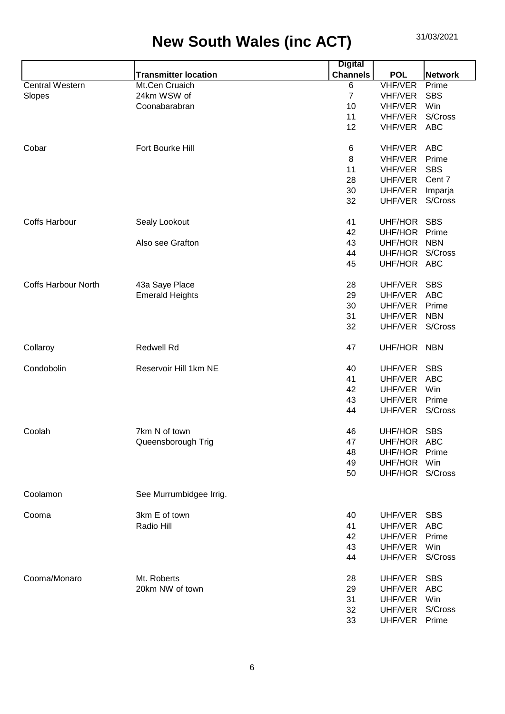|                            |                             | <b>Digital</b>  |                 |                |
|----------------------------|-----------------------------|-----------------|-----------------|----------------|
|                            | <b>Transmitter location</b> | <b>Channels</b> | <b>POL</b>      | <b>Network</b> |
| <b>Central Western</b>     | Mt.Cen Cruaich              | 6               | <b>VHF/VER</b>  | Prime          |
| Slopes                     | 24km WSW of                 | $\overline{7}$  | VHF/VER         | <b>SBS</b>     |
|                            | Coonabarabran               | 10              | VHF/VER         | Win            |
|                            |                             | 11              | VHF/VER         | S/Cross        |
|                            |                             | 12              | VHF/VER         | <b>ABC</b>     |
|                            |                             |                 |                 |                |
| Cobar                      | Fort Bourke Hill            | 6               | <b>VHF/VER</b>  | <b>ABC</b>     |
|                            |                             | 8               | <b>VHF/VER</b>  | Prime          |
|                            |                             | 11              | <b>VHF/VER</b>  | <b>SBS</b>     |
|                            |                             | 28              | UHF/VER         | Cent 7         |
|                            |                             | 30              | UHF/VER         | Imparja        |
|                            |                             | 32              | UHF/VER         | S/Cross        |
|                            |                             |                 |                 |                |
|                            |                             |                 |                 |                |
| <b>Coffs Harbour</b>       | Sealy Lookout               | 41              | UHF/HOR         | <b>SBS</b>     |
|                            |                             | 42              | <b>UHF/HOR</b>  | Prime          |
|                            | Also see Grafton            | 43              | UHF/HOR         | <b>NBN</b>     |
|                            |                             | 44              | UHF/HOR         | S/Cross        |
|                            |                             | 45              | UHF/HOR ABC     |                |
|                            |                             |                 |                 |                |
| <b>Coffs Harbour North</b> | 43a Saye Place              | 28              | UHF/VER         | <b>SBS</b>     |
|                            | <b>Emerald Heights</b>      | 29              | UHF/VER         | <b>ABC</b>     |
|                            |                             | 30              | UHF/VER         | Prime          |
|                            |                             | 31              | UHF/VER         | <b>NBN</b>     |
|                            |                             | 32              | UHF/VER         | S/Cross        |
|                            |                             |                 |                 |                |
| Collaroy                   | <b>Redwell Rd</b>           | 47              | UHF/HOR         | <b>NBN</b>     |
|                            |                             |                 |                 |                |
| Condobolin                 | Reservoir Hill 1km NE       | 40              | UHF/VER         | <b>SBS</b>     |
|                            |                             | 41              | UHF/VER         | <b>ABC</b>     |
|                            |                             | 42              | UHF/VER         | Win            |
|                            |                             | 43              | UHF/VER         | Prime          |
|                            |                             | 44              | UHF/VER         | S/Cross        |
|                            |                             |                 |                 |                |
| Coolah                     | 7km N of town               | 46              | UHF/HOR SBS     |                |
|                            |                             |                 |                 |                |
|                            | Queensborough Trig          | 47              | UHF/HOR ABC     |                |
|                            |                             | 48              | UHF/HOR         | Prime          |
|                            |                             | 49              | UHF/HOR Win     |                |
|                            |                             | 50              | UHF/HOR S/Cross |                |
|                            |                             |                 |                 |                |
| Coolamon                   | See Murrumbidgee Irrig.     |                 |                 |                |
|                            |                             |                 |                 |                |
| Cooma                      | 3km E of town               | 40              | UHF/VER         | <b>SBS</b>     |
|                            | Radio Hill                  | 41              | UHF/VER ABC     |                |
|                            |                             | 42              | UHF/VER         | Prime          |
|                            |                             | 43              | UHF/VER         | Win            |
|                            |                             | 44              | UHF/VER         | S/Cross        |
|                            |                             |                 |                 |                |
| Cooma/Monaro               | Mt. Roberts                 | 28              | UHF/VER         | <b>SBS</b>     |
|                            | 20km NW of town             | 29              | UHF/VER         | <b>ABC</b>     |
|                            |                             | 31              | UHF/VER         | Win            |
|                            |                             | 32              | UHF/VER         | S/Cross        |
|                            |                             | 33              | UHF/VER         | Prime          |
|                            |                             |                 |                 |                |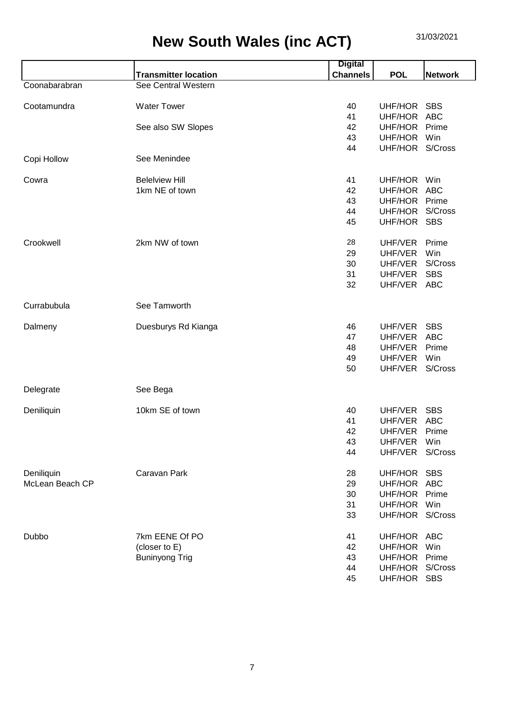|                 |                             | <b>Digital</b>  |                 |                |
|-----------------|-----------------------------|-----------------|-----------------|----------------|
|                 | <b>Transmitter location</b> | <b>Channels</b> | <b>POL</b>      | <b>Network</b> |
| Coonabarabran   | See Central Western         |                 |                 |                |
| Cootamundra     | <b>Water Tower</b>          | 40              | UHF/HOR         | <b>SBS</b>     |
|                 |                             | 41              | UHF/HOR         | <b>ABC</b>     |
|                 | See also SW Slopes          | 42              | UHF/HOR         | Prime          |
|                 |                             | 43              | UHF/HOR         | Win            |
|                 |                             | 44              | UHF/HOR S/Cross |                |
| Copi Hollow     | See Menindee                |                 |                 |                |
| Cowra           | <b>Beleiview Hill</b>       | 41              | UHF/HOR Win     |                |
|                 | 1km NE of town              | 42              | UHF/HOR         | <b>ABC</b>     |
|                 |                             | 43              | UHF/HOR         | Prime          |
|                 |                             | 44              | UHF/HOR         | S/Cross        |
|                 |                             | 45              | UHF/HOR SBS     |                |
| Crookwell       | 2km NW of town              | 28              | UHF/VER         | Prime          |
|                 |                             | 29              | UHF/VER         | Win            |
|                 |                             | 30              | UHF/VER         | S/Cross        |
|                 |                             | 31              | UHF/VER         | <b>SBS</b>     |
|                 |                             | 32              | UHF/VER         | <b>ABC</b>     |
| Currabubula     | See Tamworth                |                 |                 |                |
| Dalmeny         | Duesburys Rd Kianga         | 46              | UHF/VER         | <b>SBS</b>     |
|                 |                             | 47              | UHF/VER         | <b>ABC</b>     |
|                 |                             | 48              | UHF/VER         | Prime          |
|                 |                             | 49              | UHF/VER         | Win            |
|                 |                             | 50              | UHF/VER         | S/Cross        |
| Delegrate       | See Bega                    |                 |                 |                |
| Deniliquin      | 10km SE of town             | 40              | UHF/VER         | <b>SBS</b>     |
|                 |                             | 41              | UHF/VER         | <b>ABC</b>     |
|                 |                             | 42              | UHF/VER         | Prime          |
|                 |                             | 43              | UHF/VER         | Win            |
|                 |                             | 44              | UHF/VER         | S/Cross        |
| Deniliquin      | Caravan Park                | 28              | UHF/HOR         | <b>SBS</b>     |
| McLean Beach CP |                             | 29              | UHF/HOR ABC     |                |
|                 |                             | 30              | UHF/HOR Prime   |                |
|                 |                             | 31              | UHF/HOR Win     |                |
|                 |                             | 33              | UHF/HOR S/Cross |                |
| Dubbo           | 7km EENE Of PO              | 41              | UHF/HOR ABC     |                |
|                 | (closer to E)               | 42              | UHF/HOR         | Win            |
|                 | <b>Buninyong Trig</b>       | 43              | UHF/HOR Prime   |                |
|                 |                             | 44              | UHF/HOR S/Cross |                |
|                 |                             | 45              | UHF/HOR SBS     |                |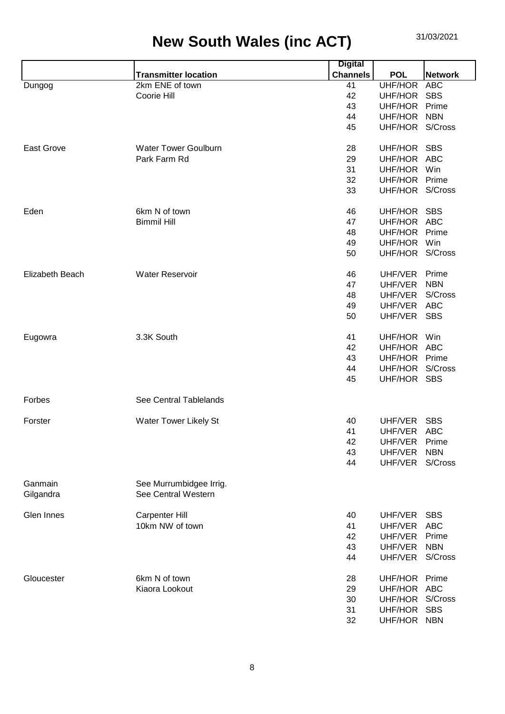|                   |                             | <b>Digital</b>  |                 |                |
|-------------------|-----------------------------|-----------------|-----------------|----------------|
|                   | <b>Transmitter location</b> | <b>Channels</b> | <b>POL</b>      | <b>Network</b> |
| Dungog            | 2km ENE of town             | 41              | UHF/HOR         | <b>ABC</b>     |
|                   | Coorie Hill                 | 42              | UHF/HOR         | <b>SBS</b>     |
|                   |                             | 43              | UHF/HOR         | Prime          |
|                   |                             | 44              | UHF/HOR         | <b>NBN</b>     |
|                   |                             | 45              | UHF/HOR S/Cross |                |
|                   |                             |                 |                 |                |
| <b>East Grove</b> | <b>Water Tower Goulburn</b> | 28              | UHF/HOR         | <b>SBS</b>     |
|                   | Park Farm Rd                | 29              | UHF/HOR ABC     |                |
|                   |                             | 31              | UHF/HOR         | Win            |
|                   |                             | 32              | UHF/HOR         | Prime          |
|                   |                             | 33              | UHF/HOR S/Cross |                |
|                   |                             |                 |                 |                |
| Eden              | 6km N of town               | 46              | UHF/HOR SBS     |                |
|                   | <b>Bimmil Hill</b>          | 47              | UHF/HOR         | <b>ABC</b>     |
|                   |                             | 48              | UHF/HOR         | Prime          |
|                   |                             |                 |                 |                |
|                   |                             | 49              | UHF/HOR         | Win            |
|                   |                             | 50              | UHF/HOR S/Cross |                |
|                   |                             |                 |                 |                |
| Elizabeth Beach   | <b>Water Reservoir</b>      | 46              | UHF/VER         | Prime          |
|                   |                             | 47              | UHF/VER         | <b>NBN</b>     |
|                   |                             | 48              | UHF/VER         | S/Cross        |
|                   |                             | 49              | UHF/VER         | <b>ABC</b>     |
|                   |                             | 50              | UHF/VER SBS     |                |
|                   |                             |                 |                 |                |
| Eugowra           | 3.3K South                  | 41              | UHF/HOR         | Win            |
|                   |                             | 42              | UHF/HOR ABC     |                |
|                   |                             | 43              | UHF/HOR         | Prime          |
|                   |                             | 44              | UHF/HOR S/Cross |                |
|                   |                             | 45              | UHF/HOR SBS     |                |
|                   |                             |                 |                 |                |
| Forbes            | See Central Tablelands      |                 |                 |                |
|                   |                             |                 |                 |                |
| Forster           | Water Tower Likely St       | 40              | UHF/VER         | <b>SBS</b>     |
|                   |                             | 41              | UHF/VER ABC     |                |
|                   |                             | 42              | UHF/VER         | Prime          |
|                   |                             | 43              | UHF/VER         | <b>NBN</b>     |
|                   |                             | 44              | UHF/VER S/Cross |                |
|                   |                             |                 |                 |                |
| Ganmain           | See Murrumbidgee Irrig.     |                 |                 |                |
| Gilgandra         | See Central Western         |                 |                 |                |
|                   |                             |                 |                 |                |
| Glen Innes        | Carpenter Hill              | 40              | UHF/VER         | <b>SBS</b>     |
|                   | 10km NW of town             | 41              | UHF/VER         | <b>ABC</b>     |
|                   |                             | 42              | UHF/VER         | Prime          |
|                   |                             | 43              | UHF/VER         | <b>NBN</b>     |
|                   |                             | 44              | UHF/VER         | S/Cross        |
|                   |                             |                 |                 |                |
| Gloucester        | 6km N of town               | 28              | UHF/HOR         | Prime          |
|                   | Kiaora Lookout              | 29              | UHF/HOR ABC     |                |
|                   |                             | 30              | UHF/HOR         | S/Cross        |
|                   |                             | 31              | UHF/HOR         | <b>SBS</b>     |
|                   |                             | 32              | UHF/HOR NBN     |                |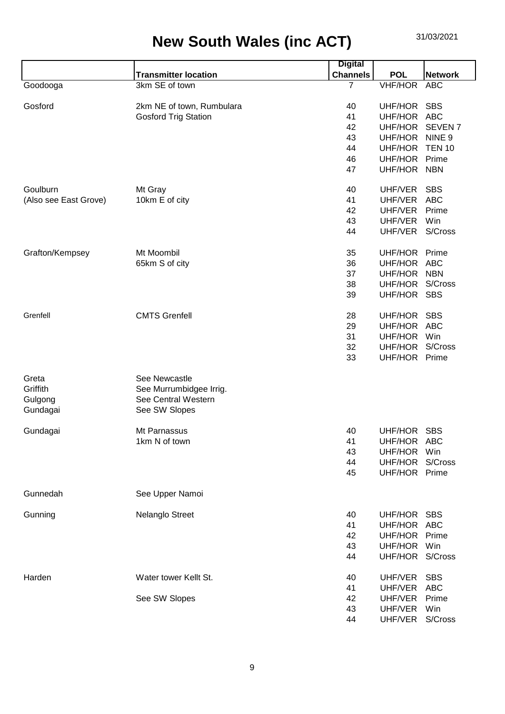|                       |                             | <b>Digital</b>  |                 |                    |
|-----------------------|-----------------------------|-----------------|-----------------|--------------------|
|                       | <b>Transmitter location</b> | <b>Channels</b> | <b>POL</b>      | <b>Network</b>     |
| Goodooga              | 3km SE of town              | 7               | <b>VHF/HOR</b>  | <b>ABC</b>         |
|                       |                             |                 |                 |                    |
| Gosford               | 2km NE of town, Rumbulara   | 40              | UHF/HOR         | <b>SBS</b>         |
|                       | <b>Gosford Trig Station</b> | 41              | UHF/HOR         | <b>ABC</b>         |
|                       |                             | 42              | UHF/HOR         | SEVEN <sub>7</sub> |
|                       |                             | 43              | UHF/HOR         | NINE <sub>9</sub>  |
|                       |                             | 44              | UHF/HOR         | <b>TEN 10</b>      |
|                       |                             | 46              | UHF/HOR         | Prime              |
|                       |                             | 47              | UHF/HOR         | <b>NBN</b>         |
|                       |                             |                 |                 |                    |
| Goulburn              | Mt Gray                     | 40              | UHF/VER         | <b>SBS</b>         |
| (Also see East Grove) | 10km E of city              | 41              | UHF/VER         | <b>ABC</b>         |
|                       |                             | 42              | UHF/VER         | Prime              |
|                       |                             | 43              | UHF/VER         | Win                |
|                       |                             | 44              | UHF/VER         | S/Cross            |
|                       | Mt Moombil                  |                 |                 |                    |
| Grafton/Kempsey       |                             | 35              | UHF/HOR         | Prime              |
|                       | 65km S of city              | 36              | UHF/HOR         | <b>ABC</b>         |
|                       |                             | 37              | UHF/HOR         | <b>NBN</b>         |
|                       |                             | 38              | UHF/HOR         | S/Cross            |
|                       |                             | 39              | UHF/HOR         | <b>SBS</b>         |
| Grenfell              | <b>CMTS Grenfell</b>        | 28              | UHF/HOR         | <b>SBS</b>         |
|                       |                             | 29              | UHF/HOR         | <b>ABC</b>         |
|                       |                             | 31              | UHF/HOR         | Win                |
|                       |                             | 32              | UHF/HOR         | S/Cross            |
|                       |                             | 33              | UHF/HOR         | Prime              |
|                       |                             |                 |                 |                    |
| Greta                 | See Newcastle               |                 |                 |                    |
| Griffith              | See Murrumbidgee Irrig.     |                 |                 |                    |
| Gulgong               | See Central Western         |                 |                 |                    |
| Gundagai              | See SW Slopes               |                 |                 |                    |
|                       |                             |                 |                 |                    |
| Gundagai              | Mt Parnassus                | 40              | UHF/HOR SBS     |                    |
|                       | 1km N of town               | 41              | UHF/HOR         | ABC                |
|                       |                             | 43              | UHF/HOR         | Win                |
|                       |                             | 44              | UHF/HOR         | S/Cross            |
|                       |                             | 45              | UHF/HOR Prime   |                    |
|                       |                             |                 |                 |                    |
| Gunnedah              | See Upper Namoi             |                 |                 |                    |
| Gunning               | Nelanglo Street             | 40              | UHF/HOR         | <b>SBS</b>         |
|                       |                             | 41              | UHF/HOR         | ABC                |
|                       |                             | 42              | UHF/HOR         | Prime              |
|                       |                             | 43              | UHF/HOR         | Win                |
|                       |                             | 44              | UHF/HOR S/Cross |                    |
|                       |                             |                 |                 |                    |
| Harden                | Water tower Kellt St.       | 40              | UHF/VER         | <b>SBS</b>         |
|                       |                             | 41              | UHF/VER         | <b>ABC</b>         |
|                       | See SW Slopes               | 42              | UHF/VER         | Prime              |
|                       |                             | 43              | UHF/VER         | Win                |
|                       |                             | 44              | UHF/VER         | S/Cross            |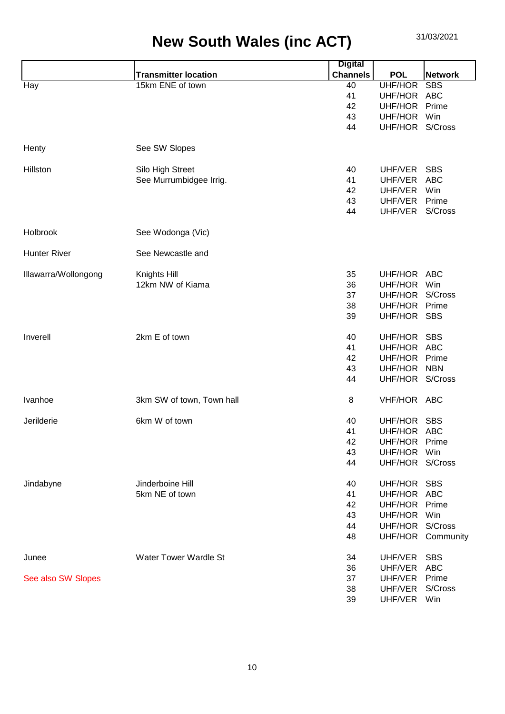|                      |                              | <b>Digital</b>  |                 |                   |
|----------------------|------------------------------|-----------------|-----------------|-------------------|
|                      | <b>Transmitter location</b>  | <b>Channels</b> | <b>POL</b>      | <b>Network</b>    |
| Hay                  | 15km ENE of town             | 40              | UHF/HOR         | <b>SBS</b>        |
|                      |                              | 41              | UHF/HOR         | ABC               |
|                      |                              | 42              | UHF/HOR         | Prime             |
|                      |                              | 43              | UHF/HOR         | Win               |
|                      |                              | 44              | UHF/HOR S/Cross |                   |
| Henty                | See SW Slopes                |                 |                 |                   |
| Hillston             | Silo High Street             | 40              | UHF/VER         | <b>SBS</b>        |
|                      | See Murrumbidgee Irrig.      | 41              | UHF/VER         | <b>ABC</b>        |
|                      |                              | 42              | UHF/VER         | Win               |
|                      |                              | 43              | UHF/VER         | Prime             |
|                      |                              | 44              | UHF/VER         | S/Cross           |
| Holbrook             | See Wodonga (Vic)            |                 |                 |                   |
| <b>Hunter River</b>  | See Newcastle and            |                 |                 |                   |
| Illawarra/Wollongong | Knights Hill                 | 35              | UHF/HOR         | ABC               |
|                      | 12km NW of Kiama             | 36              | UHF/HOR         | Win               |
|                      |                              | 37              | UHF/HOR         | S/Cross           |
|                      |                              | 38              | UHF/HOR Prime   |                   |
|                      |                              | 39              | UHF/HOR         | <b>SBS</b>        |
|                      |                              |                 |                 |                   |
| Inverell             | 2km E of town                | 40              | UHF/HOR SBS     |                   |
|                      |                              | 41              | UHF/HOR ABC     |                   |
|                      |                              | 42              | UHF/HOR         | Prime             |
|                      |                              | 43              | UHF/HOR         | <b>NBN</b>        |
|                      |                              | 44              | UHF/HOR S/Cross |                   |
| Ivanhoe              | 3km SW of town, Town hall    | 8               | VHF/HOR ABC     |                   |
| Jerilderie           | 6km W of town                | 40              | UHF/HOR SBS     |                   |
|                      |                              | 41              | UHF/HOR ABC     |                   |
|                      |                              | 42              | UHF/HOR         | Prime             |
|                      |                              | 43              | UHF/HOR         | Win               |
|                      |                              | 44              | UHF/HOR S/Cross |                   |
| Jindabyne            | Jinderboine Hill             | 40              | UHF/HOR         | <b>SBS</b>        |
|                      | 5km NE of town               | 41              | UHF/HOR ABC     |                   |
|                      |                              | 42              | UHF/HOR         | Prime             |
|                      |                              | 43              | UHF/HOR         | Win               |
|                      |                              | 44              | UHF/HOR         | S/Cross           |
|                      |                              |                 |                 |                   |
|                      |                              | 48              |                 | UHF/HOR Community |
| Junee                | <b>Water Tower Wardle St</b> | 34              | UHF/VER         | <b>SBS</b>        |
|                      |                              | 36              | UHF/VER         | <b>ABC</b>        |
| See also SW Slopes   |                              | 37              | UHF/VER         | Prime             |
|                      |                              | 38              | UHF/VER         | S/Cross           |
|                      |                              | 39              | UHF/VER Win     |                   |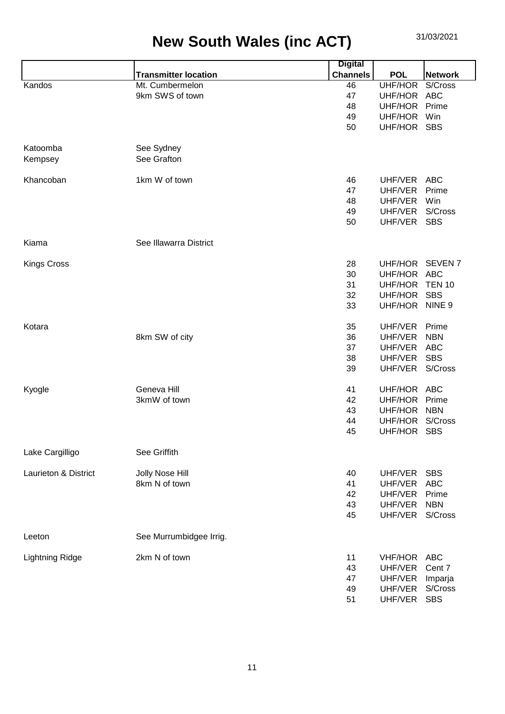|                        |                             | <b>Digital</b>  |                |                |
|------------------------|-----------------------------|-----------------|----------------|----------------|
|                        | <b>Transmitter location</b> | <b>Channels</b> | <b>POL</b>     | <b>Network</b> |
| Kandos                 | Mt. Cumbermelon             | 46              | UHF/HOR        | S/Cross        |
|                        | 9km SWS of town             | 47              | UHF/HOR        | <b>ABC</b>     |
|                        |                             | 48              | UHF/HOR        | Prime          |
|                        |                             | 49              | UHF/HOR        | Win            |
|                        |                             | 50              | UHF/HOR SBS    |                |
|                        |                             |                 |                |                |
| Katoomba               | See Sydney                  |                 |                |                |
| Kempsey                | See Grafton                 |                 |                |                |
|                        |                             |                 |                |                |
| Khancoban              | 1km W of town               | 46              | UHF/VER        | <b>ABC</b>     |
|                        |                             | 47              | UHF/VER        | Prime          |
|                        |                             | 48              | UHF/VER        | Win            |
|                        |                             | 49              | UHF/VER        | S/Cross        |
|                        |                             | 50              | UHF/VER        | <b>SBS</b>     |
|                        |                             |                 |                |                |
| Kiama                  | See Illawarra District      |                 |                |                |
|                        |                             |                 |                |                |
| <b>Kings Cross</b>     |                             | 28              | UHF/HOR        | <b>SEVEN7</b>  |
|                        |                             |                 |                |                |
|                        |                             | 30              | UHF/HOR ABC    |                |
|                        |                             | 31              | UHF/HOR        | <b>TEN 10</b>  |
|                        |                             | 32              | UHF/HOR        | <b>SBS</b>     |
|                        |                             | 33              | UHF/HOR NINE 9 |                |
|                        |                             |                 |                |                |
| Kotara                 |                             | 35              | UHF/VER        | Prime          |
|                        | 8km SW of city              | 36              | UHF/VER        | <b>NBN</b>     |
|                        |                             | 37              | UHF/VER        | <b>ABC</b>     |
|                        |                             | 38              | UHF/VER        | <b>SBS</b>     |
|                        |                             | 39              | UHF/VER        | S/Cross        |
|                        |                             |                 |                |                |
| Kyogle                 | Geneva Hill                 | 41              | UHF/HOR ABC    |                |
|                        | 3kmW of town                | 42              | UHF/HOR        | Prime          |
|                        |                             | 43              | UHF/HOR        | <b>NBN</b>     |
|                        |                             | 44              | UHF/HOR        | S/Cross        |
|                        |                             | 45              | UHF/HOR SBS    |                |
|                        |                             |                 |                |                |
| Lake Cargilligo        | See Griffith                |                 |                |                |
|                        |                             |                 |                |                |
| Laurieton & District   | Jolly Nose Hill             | 40              | UHF/VER        | <b>SBS</b>     |
|                        | 8km N of town               | 41              | UHF/VER        | <b>ABC</b>     |
|                        |                             | 42              | UHF/VER        | Prime          |
|                        |                             | 43              | UHF/VER        | <b>NBN</b>     |
|                        |                             | 45              | UHF/VER        | S/Cross        |
|                        |                             |                 |                |                |
| Leeton                 | See Murrumbidgee Irrig.     |                 |                |                |
|                        |                             |                 |                |                |
| <b>Lightning Ridge</b> | 2km N of town               | 11              | VHF/HOR        | <b>ABC</b>     |
|                        |                             | 43              | UHF/VER        | Cent 7         |
|                        |                             | 47              | UHF/VER        | Imparja        |
|                        |                             | 49              | UHF/VER        | S/Cross        |
|                        |                             | 51              | UHF/VER        | <b>SBS</b>     |
|                        |                             |                 |                |                |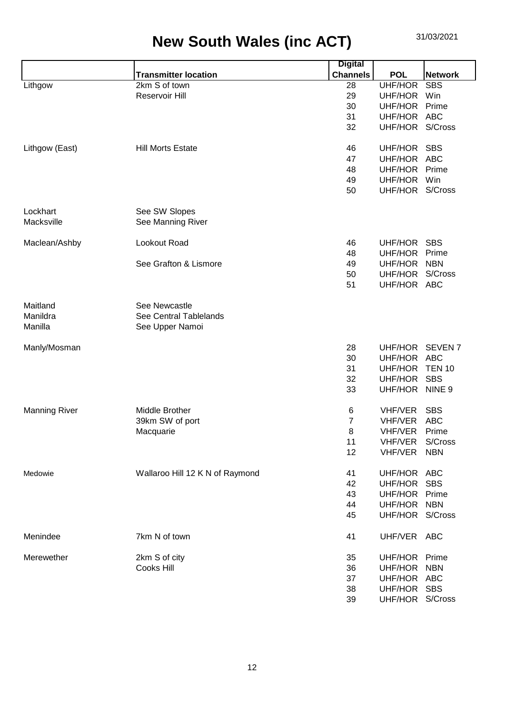|                      |                                 | <b>Digital</b>  |                 |                   |
|----------------------|---------------------------------|-----------------|-----------------|-------------------|
|                      | <b>Transmitter location</b>     | <b>Channels</b> | <b>POL</b>      | <b>Network</b>    |
| Lithgow              | 2km S of town                   | 28              | UHF/HOR         | <b>SBS</b>        |
|                      | Reservoir Hill                  | 29              | UHF/HOR         | Win               |
|                      |                                 | 30              | UHF/HOR         | Prime             |
|                      |                                 | 31              | UHF/HOR ABC     |                   |
|                      |                                 | 32              | UHF/HOR S/Cross |                   |
| Lithgow (East)       | <b>Hill Morts Estate</b>        | 46              | UHF/HOR SBS     |                   |
|                      |                                 | 47              | UHF/HOR ABC     |                   |
|                      |                                 | 48              | UHF/HOR Prime   |                   |
|                      |                                 | 49              | UHF/HOR         | Win               |
|                      |                                 | 50              | UHF/HOR S/Cross |                   |
| Lockhart             | See SW Slopes                   |                 |                 |                   |
| Macksville           | See Manning River               |                 |                 |                   |
|                      | Lookout Road                    |                 |                 | <b>SBS</b>        |
| Maclean/Ashby        |                                 | 46              | UHF/HOR         | Prime             |
|                      | See Grafton & Lismore           | 48              | UHF/HOR         |                   |
|                      |                                 | 49              | UHF/HOR NBN     |                   |
|                      |                                 | 50              | UHF/HOR S/Cross |                   |
|                      |                                 | 51              | UHF/HOR ABC     |                   |
| Maitland             | See Newcastle                   |                 |                 |                   |
| Manildra             | See Central Tablelands          |                 |                 |                   |
| Manilla              | See Upper Namoi                 |                 |                 |                   |
| Manly/Mosman         |                                 | 28              | UHF/HOR SEVEN 7 |                   |
|                      |                                 | 30              | UHF/HOR ABC     |                   |
|                      |                                 | 31              | UHF/HOR TEN 10  |                   |
|                      |                                 | 32              | UHF/HOR         | <b>SBS</b>        |
|                      |                                 | 33              | UHF/HOR         | NINE <sub>9</sub> |
| <b>Manning River</b> | Middle Brother                  | 6               | VHF/VER         | <b>SBS</b>        |
|                      | 39km SW of port                 | 7               | <b>VHF/VER</b>  | <b>ABC</b>        |
|                      | Macquarie                       | 8               | VHF/VER         | Prime             |
|                      |                                 | 11              | VHF/VER         | S/Cross           |
|                      |                                 | 12              | VHF/VER         | <b>NBN</b>        |
|                      |                                 |                 |                 |                   |
| Medowie              | Wallaroo Hill 12 K N of Raymond | 41              | UHF/HOR ABC     |                   |
|                      |                                 | 42              | UHF/HOR         | <b>SBS</b>        |
|                      |                                 | 43              | UHF/HOR Prime   |                   |
|                      |                                 | 44              | UHF/HOR         | <b>NBN</b>        |
|                      |                                 | 45              | UHF/HOR S/Cross |                   |
| Menindee             | 7km N of town                   | 41              | UHF/VER ABC     |                   |
| Merewether           | 2km S of city                   | 35              | UHF/HOR Prime   |                   |
|                      | <b>Cooks Hill</b>               | 36              | UHF/HOR         | <b>NBN</b>        |
|                      |                                 | 37              | UHF/HOR ABC     |                   |
|                      |                                 | 38              | UHF/HOR SBS     |                   |
|                      |                                 | 39              | UHF/HOR S/Cross |                   |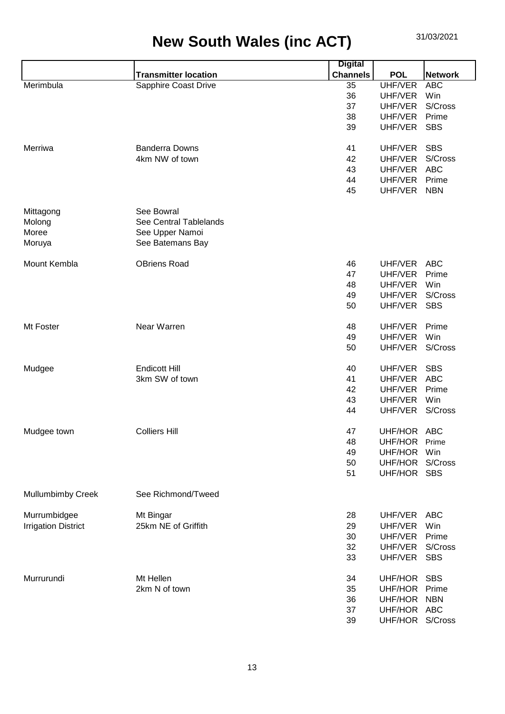|                            |                             | <b>Digital</b>  |                 |                |
|----------------------------|-----------------------------|-----------------|-----------------|----------------|
|                            | <b>Transmitter location</b> | <b>Channels</b> | <b>POL</b>      | <b>Network</b> |
| Merimbula                  | <b>Sapphire Coast Drive</b> | 35              | UHF/VER         | <b>ABC</b>     |
|                            |                             | 36              | UHF/VER         | Win            |
|                            |                             | 37              | UHF/VER         | S/Cross        |
|                            |                             | 38              | UHF/VER         | Prime          |
|                            |                             | 39              | UHF/VER         | <b>SBS</b>     |
|                            |                             |                 |                 |                |
| Merriwa                    | <b>Banderra Downs</b>       | 41              | UHF/VER         | <b>SBS</b>     |
|                            | 4km NW of town              | 42              | UHF/VER         | S/Cross        |
|                            |                             | 43              | UHF/VER         | <b>ABC</b>     |
|                            |                             | 44              | UHF/VER         | Prime          |
|                            |                             | 45              | UHF/VER         | <b>NBN</b>     |
|                            |                             |                 |                 |                |
| Mittagong                  | See Bowral                  |                 |                 |                |
| Molong                     | See Central Tablelands      |                 |                 |                |
| Moree                      |                             |                 |                 |                |
|                            | See Upper Namoi             |                 |                 |                |
| Moruya                     | See Batemans Bay            |                 |                 |                |
|                            | <b>OBriens Road</b>         |                 | UHF/VER         |                |
| Mount Kembla               |                             | 46              |                 | <b>ABC</b>     |
|                            |                             | 47              | UHF/VER         | Prime          |
|                            |                             | 48              | UHF/VER         | Win            |
|                            |                             | 49              | UHF/VER         | S/Cross        |
|                            |                             | 50              | UHF/VER         | <b>SBS</b>     |
|                            |                             |                 |                 |                |
| Mt Foster                  | Near Warren                 | 48              | UHF/VER         | Prime          |
|                            |                             | 49              | UHF/VER         | Win            |
|                            |                             | 50              | UHF/VER         | S/Cross        |
|                            |                             |                 |                 |                |
| Mudgee                     | <b>Endicott Hill</b>        | 40              | UHF/VER         | <b>SBS</b>     |
|                            | 3km SW of town              | 41              | UHF/VER         | <b>ABC</b>     |
|                            |                             | 42              | UHF/VER         | Prime          |
|                            |                             | 43              | UHF/VER         | Win            |
|                            |                             | 44              | UHF/VER         | S/Cross        |
|                            |                             |                 |                 |                |
| Mudgee town                | <b>Colliers Hill</b>        | 47              | UHF/HOR ABC     |                |
|                            |                             | 48              | UHF/HOR         | Prime          |
|                            |                             | 49              | UHF/HOR         | Win            |
|                            |                             | 50              | UHF/HOR         | S/Cross        |
|                            |                             | 51              | UHF/HOR         | <b>SBS</b>     |
|                            |                             |                 |                 |                |
| <b>Mullumbimby Creek</b>   | See Richmond/Tweed          |                 |                 |                |
|                            |                             |                 |                 |                |
| Murrumbidgee               | Mt Bingar                   | 28              | UHF/VER         | <b>ABC</b>     |
| <b>Irrigation District</b> | 25km NE of Griffith         | 29              | UHF/VER         | Win            |
|                            |                             | 30              | UHF/VER         | Prime          |
|                            |                             | 32              | UHF/VER         | S/Cross        |
|                            |                             | 33              | UHF/VER         | <b>SBS</b>     |
|                            |                             |                 |                 |                |
| Murrurundi                 | Mt Hellen                   | 34              | UHF/HOR SBS     |                |
|                            |                             |                 |                 |                |
|                            | 2km N of town               | 35              | UHF/HOR         | Prime          |
|                            |                             | 36              | UHF/HOR         | <b>NBN</b>     |
|                            |                             | 37              | UHF/HOR ABC     |                |
|                            |                             | 39              | UHF/HOR S/Cross |                |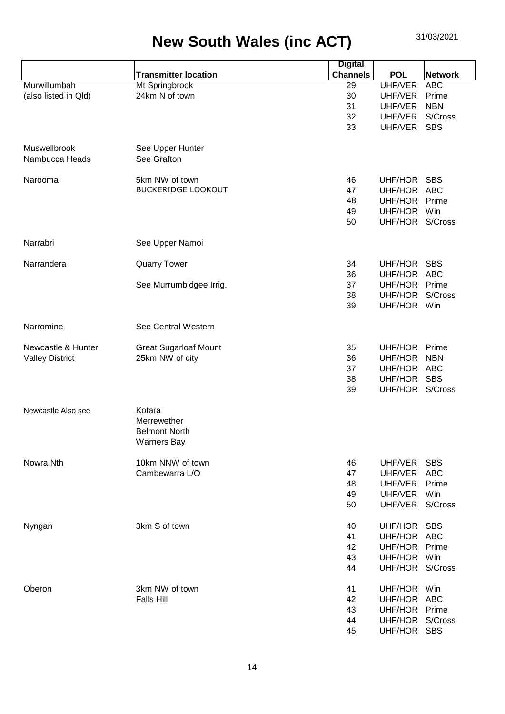|                        |                              | <b>Digital</b>  |                 |                |
|------------------------|------------------------------|-----------------|-----------------|----------------|
|                        | <b>Transmitter location</b>  | <b>Channels</b> | <b>POL</b>      | <b>Network</b> |
| Murwillumbah           | Mt Springbrook               | 29              | UHF/VER         | <b>ABC</b>     |
| (also listed in Qld)   | 24km N of town               | 30              | UHF/VER         | Prime          |
|                        |                              | 31              | UHF/VER         | <b>NBN</b>     |
|                        |                              | 32              | UHF/VER         | S/Cross        |
|                        |                              | 33              | UHF/VER         | <b>SBS</b>     |
|                        |                              |                 |                 |                |
| Muswellbrook           | See Upper Hunter             |                 |                 |                |
| Nambucca Heads         | See Grafton                  |                 |                 |                |
|                        |                              |                 |                 |                |
| Narooma                | 5km NW of town               | 46              | UHF/HOR SBS     |                |
|                        | <b>BUCKERIDGE LOOKOUT</b>    | 47              | UHF/HOR ABC     |                |
|                        |                              |                 |                 |                |
|                        |                              | 48              | UHF/HOR         | Prime          |
|                        |                              | 49              | UHF/HOR         | Win            |
|                        |                              | 50              | UHF/HOR S/Cross |                |
| Narrabri               | See Upper Namoi              |                 |                 |                |
|                        |                              |                 |                 |                |
| Narrandera             | <b>Quarry Tower</b>          | 34              | UHF/HOR         | <b>SBS</b>     |
|                        |                              | 36              | UHF/HOR         | <b>ABC</b>     |
|                        | See Murrumbidgee Irrig.      | 37              | UHF/HOR Prime   |                |
|                        |                              | 38              | UHF/HOR         | S/Cross        |
|                        |                              | 39              | UHF/HOR Win     |                |
|                        |                              |                 |                 |                |
| Narromine              | See Central Western          |                 |                 |                |
|                        |                              |                 |                 |                |
| Newcastle & Hunter     | <b>Great Sugarloaf Mount</b> | 35              | UHF/HOR         | Prime          |
| <b>Valley District</b> | 25km NW of city              | 36              | UHF/HOR         | <b>NBN</b>     |
|                        |                              | 37              | UHF/HOR ABC     |                |
|                        |                              | 38              | UHF/HOR         | <b>SBS</b>     |
|                        |                              | 39              | UHF/HOR S/Cross |                |
|                        |                              |                 |                 |                |
| Newcastle Also see     | Kotara                       |                 |                 |                |
|                        | Merrewether                  |                 |                 |                |
|                        | <b>Belmont North</b>         |                 |                 |                |
|                        | <b>Warners Bay</b>           |                 |                 |                |
|                        |                              |                 |                 |                |
| Nowra Nth              | 10km NNW of town             | 46              | UHF/VER         | <b>SBS</b>     |
|                        | Cambewarra L/O               | 47              | UHF/VER         | <b>ABC</b>     |
|                        |                              | 48              | UHF/VER         | Prime          |
|                        |                              | 49              | UHF/VER         | Win            |
|                        |                              | 50              | UHF/VER         | S/Cross        |
|                        |                              |                 |                 |                |
| Nyngan                 | 3km S of town                | 40              | UHF/HOR         | SBS            |
|                        |                              | 41              | UHF/HOR ABC     |                |
|                        |                              | 42              | UHF/HOR         | Prime          |
|                        |                              | 43              | UHF/HOR         | Win            |
|                        |                              | 44              | UHF/HOR S/Cross |                |
| Oberon                 | 3km NW of town               | 41              | UHF/HOR Win     |                |
|                        |                              |                 |                 |                |
|                        | <b>Falls Hill</b>            | 42              | UHF/HOR ABC     |                |
|                        |                              | 43              | UHF/HOR         | Prime          |
|                        |                              | 44              | UHF/HOR S/Cross |                |
|                        |                              | 45              | UHF/HOR SBS     |                |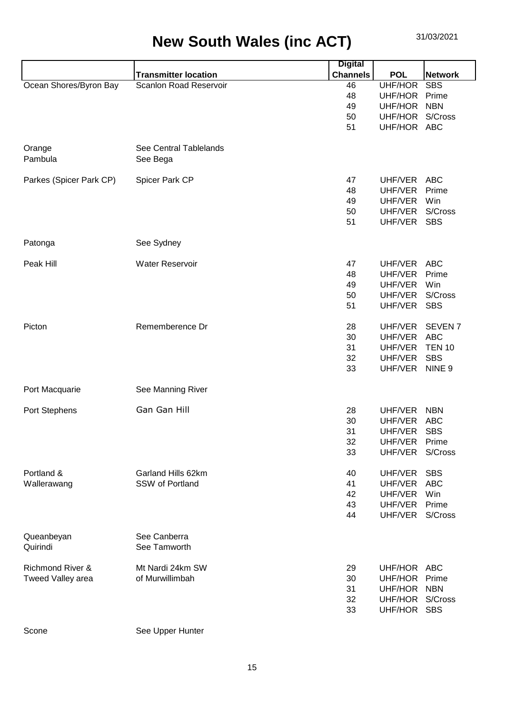|                             |                               | <b>Digital</b>  |                 |                   |
|-----------------------------|-------------------------------|-----------------|-----------------|-------------------|
|                             | <b>Transmitter location</b>   | <b>Channels</b> | <b>POL</b>      | <b>Network</b>    |
| Ocean Shores/Byron Bay      | <b>Scanlon Road Reservoir</b> | 46              | <b>UHF/HOR</b>  | <b>SBS</b>        |
|                             |                               | 48              | UHF/HOR         | Prime             |
|                             |                               | 49              | UHF/HOR         | <b>NBN</b>        |
|                             |                               | 50              | UHF/HOR S/Cross |                   |
|                             |                               | 51              | UHF/HOR ABC     |                   |
|                             |                               |                 |                 |                   |
| Orange                      | See Central Tablelands        |                 |                 |                   |
| Pambula                     | See Bega                      |                 |                 |                   |
|                             |                               |                 |                 |                   |
| Parkes (Spicer Park CP)     | Spicer Park CP                | 47              | UHF/VER         | <b>ABC</b>        |
|                             |                               | 48              | UHF/VER         | Prime             |
|                             |                               | 49              | UHF/VER         | Win               |
|                             |                               | 50              | UHF/VER         | S/Cross           |
|                             |                               | 51              | UHF/VER         | <b>SBS</b>        |
|                             |                               |                 |                 |                   |
| Patonga                     | See Sydney                    |                 |                 |                   |
|                             |                               |                 |                 |                   |
| Peak Hill                   | <b>Water Reservoir</b>        | 47              | UHF/VER         | <b>ABC</b>        |
|                             |                               | 48              | UHF/VER         | Prime             |
|                             |                               | 49              | UHF/VER         | Win<br>S/Cross    |
|                             |                               | 50              | UHF/VER         |                   |
|                             |                               | 51              | UHF/VER         | <b>SBS</b>        |
| Picton                      | Rememberence Dr               | 28              | UHF/VER         | <b>SEVEN7</b>     |
|                             |                               | 30              | UHF/VER         | <b>ABC</b>        |
|                             |                               | 31              | UHF/VER         | <b>TEN 10</b>     |
|                             |                               | 32              | UHF/VER         | <b>SBS</b>        |
|                             |                               | 33              | UHF/VER         | NINE <sub>9</sub> |
|                             |                               |                 |                 |                   |
| Port Macquarie              | See Manning River             |                 |                 |                   |
|                             |                               |                 |                 |                   |
| Port Stephens               | Gan Gan Hill                  | 28              | UHF/VER         | <b>NBN</b>        |
|                             |                               | 30              | UHF/VER         | <b>ABC</b>        |
|                             |                               | 31              | UHF/VER         | <b>SBS</b>        |
|                             |                               | 32              | UHF/VER         | Prime             |
|                             |                               | 33              | UHF/VER         | S/Cross           |
|                             |                               |                 |                 |                   |
| Portland &                  | Garland Hills 62km            | 40              | UHF/VER         | <b>SBS</b>        |
| Wallerawang                 | SSW of Portland               | 41              | UHF/VER         | <b>ABC</b>        |
|                             |                               | 42              | UHF/VER         | Win               |
|                             |                               | 43              | UHF/VER         | Prime             |
|                             |                               | 44              | UHF/VER         | S/Cross           |
|                             |                               |                 |                 |                   |
| Queanbeyan                  | See Canberra                  |                 |                 |                   |
| Quirindi                    | See Tamworth                  |                 |                 |                   |
|                             |                               |                 |                 |                   |
| <b>Richmond River &amp;</b> | Mt Nardi 24km SW              | 29              | UHF/HOR ABC     |                   |
| Tweed Valley area           | of Murwillimbah               | 30              | UHF/HOR         | Prime             |
|                             |                               | 31              | UHF/HOR NBN     |                   |
|                             |                               | 32              | UHF/HOR S/Cross |                   |
|                             |                               | 33              | UHF/HOR SBS     |                   |
|                             |                               |                 |                 |                   |

Scone Scone See Upper Hunter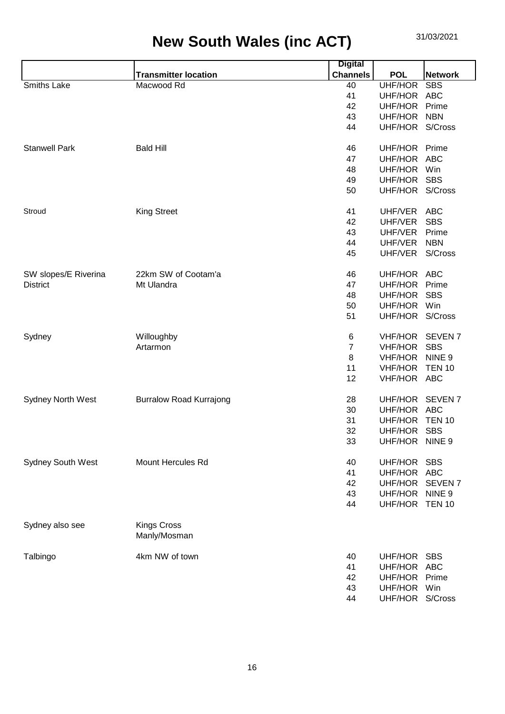|                          |                                    | <b>Digital</b>  |                 |                    |
|--------------------------|------------------------------------|-----------------|-----------------|--------------------|
|                          | <b>Transmitter location</b>        | <b>Channels</b> | <b>POL</b>      | <b>Network</b>     |
| Smiths Lake              | Macwood Rd                         | 40              | UHF/HOR         | <b>SBS</b>         |
|                          |                                    | 41              | UHF/HOR         | <b>ABC</b>         |
|                          |                                    | 42              | UHF/HOR         | Prime              |
|                          |                                    | 43              | UHF/HOR         | <b>NBN</b>         |
|                          |                                    | 44              | UHF/HOR         | S/Cross            |
| <b>Stanwell Park</b>     | <b>Bald Hill</b>                   | 46              | UHF/HOR         | Prime              |
|                          |                                    | 47              | UHF/HOR         | <b>ABC</b>         |
|                          |                                    | 48              | <b>UHF/HOR</b>  | Win                |
|                          |                                    | 49              | UHF/HOR         | <b>SBS</b>         |
|                          |                                    | 50              | UHF/HOR         | S/Cross            |
| Stroud                   | <b>King Street</b>                 | 41              | UHF/VER         | <b>ABC</b>         |
|                          |                                    | 42              | UHF/VER         | <b>SBS</b>         |
|                          |                                    | 43              | UHF/VER         | Prime              |
|                          |                                    | 44              | UHF/VER         | <b>NBN</b>         |
|                          |                                    | 45              | UHF/VER         | S/Cross            |
| SW slopes/E Riverina     | 22km SW of Cootam'a                | 46              | UHF/HOR ABC     |                    |
| <b>District</b>          | Mt Ulandra                         | 47              | UHF/HOR         | Prime              |
|                          |                                    | 48              | UHF/HOR         | <b>SBS</b>         |
|                          |                                    | 50              | UHF/HOR         | Win                |
|                          |                                    | 51              | UHF/HOR S/Cross |                    |
| Sydney                   | Willoughby                         | 6               | <b>VHF/HOR</b>  | SEVEN <sub>7</sub> |
|                          | Artarmon                           | 7               | <b>VHF/HOR</b>  | <b>SBS</b>         |
|                          |                                    | 8               | <b>VHF/HOR</b>  | NINE <sub>9</sub>  |
|                          |                                    | 11              | <b>VHF/HOR</b>  | <b>TEN 10</b>      |
|                          |                                    | 12              | <b>VHF/HOR</b>  | ABC                |
| <b>Sydney North West</b> | <b>Burralow Road Kurrajong</b>     | 28              | UHF/HOR         | SEVEN <sub>7</sub> |
|                          |                                    | 30              | UHF/HOR         | ABC                |
|                          |                                    | 31              | UHF/HOR         | <b>TEN 10</b>      |
|                          |                                    | 32              | UHF/HOR         | <b>SBS</b>         |
|                          |                                    | 33              | UHF/HOR         | NINE <sub>9</sub>  |
| Sydney South West        | Mount Hercules Rd                  | 40              | UHF/HOR         | <b>SBS</b>         |
|                          |                                    | 41              | UHF/HOR ABC     |                    |
|                          |                                    | 42              | UHF/HOR         | <b>SEVEN7</b>      |
|                          |                                    | 43              | UHF/HOR         | NINE <sub>9</sub>  |
|                          |                                    | 44              | UHF/HOR TEN 10  |                    |
| Sydney also see          | <b>Kings Cross</b><br>Manly/Mosman |                 |                 |                    |
| Talbingo                 | 4km NW of town                     | 40              | UHF/HOR         | <b>SBS</b>         |
|                          |                                    | 41              | UHF/HOR ABC     |                    |
|                          |                                    | 42              | UHF/HOR         | Prime              |
|                          |                                    | 43              | UHF/HOR Win     |                    |
|                          |                                    | 44              | UHF/HOR S/Cross |                    |
|                          |                                    |                 |                 |                    |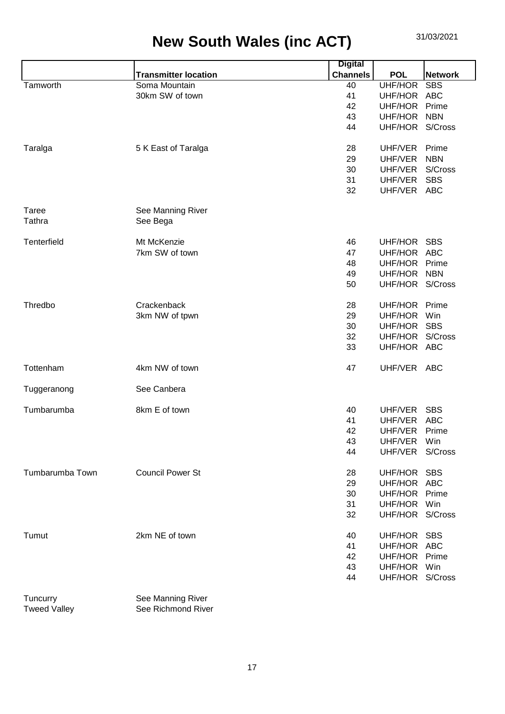|                 |                             | <b>Digital</b>  |                 |                |
|-----------------|-----------------------------|-----------------|-----------------|----------------|
|                 | <b>Transmitter location</b> | <b>Channels</b> | <b>POL</b>      | <b>Network</b> |
| Tamworth        | Soma Mountain               | 40              | UHF/HOR         | <b>SBS</b>     |
|                 | 30km SW of town             | 41              | UHF/HOR ABC     |                |
|                 |                             | 42              | UHF/HOR         | Prime          |
|                 |                             | 43              | UHF/HOR         | <b>NBN</b>     |
|                 |                             | 44              | UHF/HOR S/Cross |                |
| Taralga         | 5 K East of Taralga         | 28              | UHF/VER         | Prime          |
|                 |                             | 29              | UHF/VER         | <b>NBN</b>     |
|                 |                             | 30              | UHF/VER         | S/Cross        |
|                 |                             | 31              | UHF/VER         | <b>SBS</b>     |
|                 |                             | 32              | UHF/VER ABC     |                |
| Taree           | See Manning River           |                 |                 |                |
| Tathra          | See Bega                    |                 |                 |                |
| Tenterfield     | Mt McKenzie                 | 46              | UHF/HOR         | <b>SBS</b>     |
|                 | 7km SW of town              | 47              | UHF/HOR ABC     |                |
|                 |                             | 48              | UHF/HOR         | Prime          |
|                 |                             | 49              | UHF/HOR         | <b>NBN</b>     |
|                 |                             | 50              | UHF/HOR S/Cross |                |
| Thredbo         | Crackenback                 | 28              | UHF/HOR         | Prime          |
|                 | 3km NW of tpwn              | 29              | UHF/HOR         | Win            |
|                 |                             | 30              | UHF/HOR         | <b>SBS</b>     |
|                 |                             | 32              | UHF/HOR         | S/Cross        |
|                 |                             | 33              | UHF/HOR ABC     |                |
| Tottenham       | 4km NW of town              | 47              | UHF/VER ABC     |                |
| Tuggeranong     | See Canbera                 |                 |                 |                |
| Tumbarumba      | 8km E of town               | 40              | UHF/VER         | <b>SBS</b>     |
|                 |                             | 41              | UHF/VER         | <b>ABC</b>     |
|                 |                             | 42              | UHF/VER         | Prime          |
|                 |                             | 43              | UHF/VER         | Win            |
|                 |                             | 44              | UHF/VER         | S/Cross        |
| Tumbarumba Town | <b>Council Power St</b>     | 28              | UHF/HOR SBS     |                |
|                 |                             | 29              | UHF/HOR ABC     |                |
|                 |                             | 30              | UHF/HOR         | Prime          |
|                 |                             | 31              | UHF/HOR         | Win            |
|                 |                             | 32              | UHF/HOR S/Cross |                |
| Tumut           | 2km NE of town              | 40              | UHF/HOR         | <b>SBS</b>     |
|                 |                             | 41              | UHF/HOR ABC     |                |
|                 |                             | 42              | UHF/HOR Prime   |                |
|                 |                             | 43              | UHF/HOR Win     |                |
|                 |                             | 44              | UHF/HOR S/Cross |                |
|                 |                             |                 |                 |                |

Tuncurry See Manning River<br>
Tweed Valley See Richmond Rive See Richmond River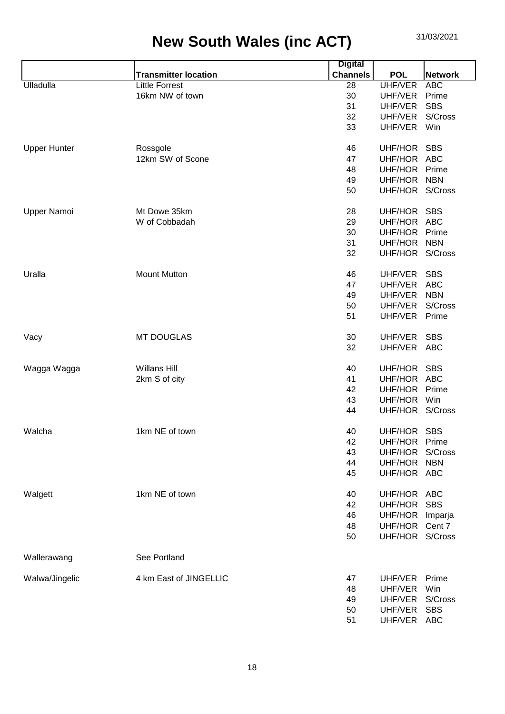|                     |                             | <b>Digital</b>  |                 |                |
|---------------------|-----------------------------|-----------------|-----------------|----------------|
|                     | <b>Transmitter location</b> | <b>Channels</b> | <b>POL</b>      | <b>Network</b> |
| Ulladulla           | <b>Little Forrest</b>       | 28              | <b>UHF/VER</b>  | <b>ABC</b>     |
|                     | 16km NW of town             | 30              | UHF/VER         | Prime          |
|                     |                             | 31              | UHF/VER         | <b>SBS</b>     |
|                     |                             | 32              | UHF/VER         | S/Cross        |
|                     |                             | 33              | UHF/VER         | Win            |
| <b>Upper Hunter</b> | Rossgole                    | 46              | UHF/HOR         | <b>SBS</b>     |
|                     | 12km SW of Scone            | 47              | UHF/HOR         | <b>ABC</b>     |
|                     |                             | 48              | UHF/HOR         | Prime          |
|                     |                             | 49              | UHF/HOR         | <b>NBN</b>     |
|                     |                             | 50              | UHF/HOR S/Cross |                |
| Upper Namoi         | Mt Dowe 35km                | 28              | UHF/HOR         | <b>SBS</b>     |
|                     | W of Cobbadah               | 29              | UHF/HOR         | <b>ABC</b>     |
|                     |                             | 30              | UHF/HOR         | Prime          |
|                     |                             | 31              | UHF/HOR         | <b>NBN</b>     |
|                     |                             | 32              | UHF/HOR S/Cross |                |
| Uralla              | <b>Mount Mutton</b>         | 46              | UHF/VER         | <b>SBS</b>     |
|                     |                             | 47              | UHF/VER         | <b>ABC</b>     |
|                     |                             | 49              | UHF/VER         | <b>NBN</b>     |
|                     |                             | 50              | UHF/VER         | S/Cross        |
|                     |                             | 51              | UHF/VER         | Prime          |
| Vacy                | <b>MT DOUGLAS</b>           | 30              | UHF/VER         | <b>SBS</b>     |
|                     |                             | 32              | UHF/VER         | <b>ABC</b>     |
| Wagga Wagga         | <b>Willans Hill</b>         | 40              | UHF/HOR SBS     |                |
|                     | 2km S of city               | 41              | UHF/HOR         | <b>ABC</b>     |
|                     |                             | 42              | UHF/HOR         | Prime          |
|                     |                             | 43              | UHF/HOR         | Win            |
|                     |                             | 44              | UHF/HOR S/Cross |                |
| Walcha              | 1km NE of town              | 40              | UHF/HOR         | <b>SBS</b>     |
|                     |                             | 42              | UHF/HOR         | Prime          |
|                     |                             | 43              | UHF/HOR         | S/Cross        |
|                     |                             | 44              | UHF/HOR         | <b>NBN</b>     |
|                     |                             | 45              | UHF/HOR ABC     |                |
| Walgett             | 1km NE of town              | 40              | UHF/HOR ABC     |                |
|                     |                             | 42              | UHF/HOR         | <b>SBS</b>     |
|                     |                             | 46              | UHF/HOR         | Imparja        |
|                     |                             | 48              | UHF/HOR         | Cent 7         |
|                     |                             | 50              | UHF/HOR S/Cross |                |
| Wallerawang         | See Portland                |                 |                 |                |
| Walwa/Jingelic      | 4 km East of JINGELLIC      | 47              | UHF/VER         | Prime          |
|                     |                             | 48              | UHF/VER         | Win            |
|                     |                             | 49              | UHF/VER         | S/Cross        |
|                     |                             | 50              | UHF/VER         | <b>SBS</b>     |
|                     |                             | 51              | UHF/VER         | <b>ABC</b>     |
|                     |                             |                 |                 |                |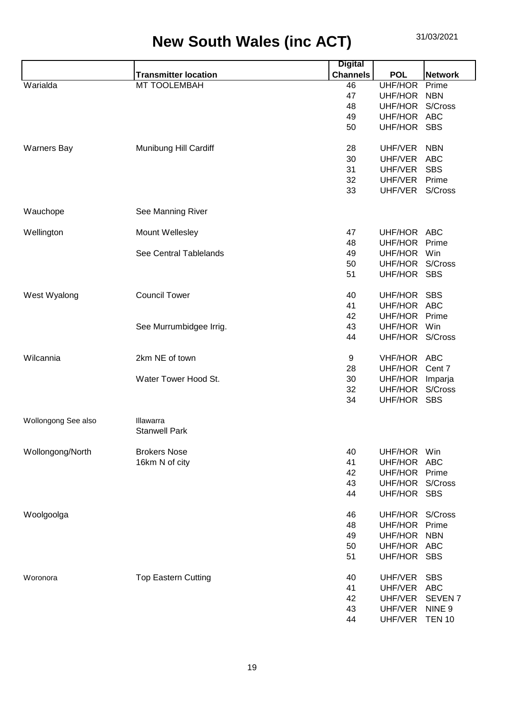|                     |                             | <b>Digital</b>  |                 |                    |
|---------------------|-----------------------------|-----------------|-----------------|--------------------|
|                     | <b>Transmitter location</b> | <b>Channels</b> | <b>POL</b>      | <b>Network</b>     |
| Warialda            | MT TOOLEMBAH                | 46              | UHF/HOR         | Prime              |
|                     |                             | 47              | UHF/HOR         | <b>NBN</b>         |
|                     |                             | 48              | UHF/HOR S/Cross |                    |
|                     |                             | 49              | UHF/HOR ABC     |                    |
|                     |                             | 50              | UHF/HOR SBS     |                    |
| <b>Warners Bay</b>  | Munibung Hill Cardiff       | 28              | UHF/VER         | <b>NBN</b>         |
|                     |                             | 30              | UHF/VER         | <b>ABC</b>         |
|                     |                             | 31              | UHF/VER         | <b>SBS</b>         |
|                     |                             | 32              | UHF/VER         | Prime              |
|                     |                             | 33              | UHF/VER         | S/Cross            |
| Wauchope            | See Manning River           |                 |                 |                    |
| Wellington          | Mount Wellesley             | 47              | UHF/HOR ABC     |                    |
|                     |                             | 48              | UHF/HOR         | Prime              |
|                     | See Central Tablelands      | 49              | UHF/HOR         | Win                |
|                     |                             | 50              | UHF/HOR S/Cross |                    |
|                     |                             | 51              | UHF/HOR SBS     |                    |
|                     |                             |                 |                 |                    |
| West Wyalong        | <b>Council Tower</b>        | 40              | UHF/HOR         | <b>SBS</b>         |
|                     |                             | 41              | UHF/HOR ABC     |                    |
|                     |                             | 42              | UHF/HOR         | Prime              |
|                     | See Murrumbidgee Irrig.     | 43              | UHF/HOR         | Win                |
|                     |                             | 44              | UHF/HOR S/Cross |                    |
| Wilcannia           | 2km NE of town              | 9               | VHF/HOR ABC     |                    |
|                     |                             | 28              | UHF/HOR         | Cent 7             |
|                     | Water Tower Hood St.        | 30              | UHF/HOR         | Imparja            |
|                     |                             | 32              | UHF/HOR         | S/Cross            |
|                     |                             | 34              | UHF/HOR SBS     |                    |
| Wollongong See also | Illawarra                   |                 |                 |                    |
|                     | <b>Stanwell Park</b>        |                 |                 |                    |
| Wollongong/North    | <b>Brokers Nose</b>         | 40              | UHF/HOR         | Win                |
|                     | 16km N of city              | 41              | UHF/HOR         | <b>ABC</b>         |
|                     |                             | 42              | UHF/HOR         | Prime              |
|                     |                             | 43              | UHF/HOR         | S/Cross            |
|                     |                             | 44              | UHF/HOR         | <b>SBS</b>         |
| Woolgoolga          |                             | 46              | UHF/HOR S/Cross |                    |
|                     |                             | 48              | UHF/HOR         | Prime              |
|                     |                             | 49              | UHF/HOR         | <b>NBN</b>         |
|                     |                             | 50              | UHF/HOR ABC     |                    |
|                     |                             | 51              | UHF/HOR SBS     |                    |
| Woronora            | <b>Top Eastern Cutting</b>  | 40              | UHF/VER         | <b>SBS</b>         |
|                     |                             | 41              | UHF/VER         | <b>ABC</b>         |
|                     |                             | 42              | UHF/VER         | SEVEN <sub>7</sub> |
|                     |                             | 43              | UHF/VER         | NINE 9             |
|                     |                             | 44              | UHF/VER         | <b>TEN 10</b>      |
|                     |                             |                 |                 |                    |